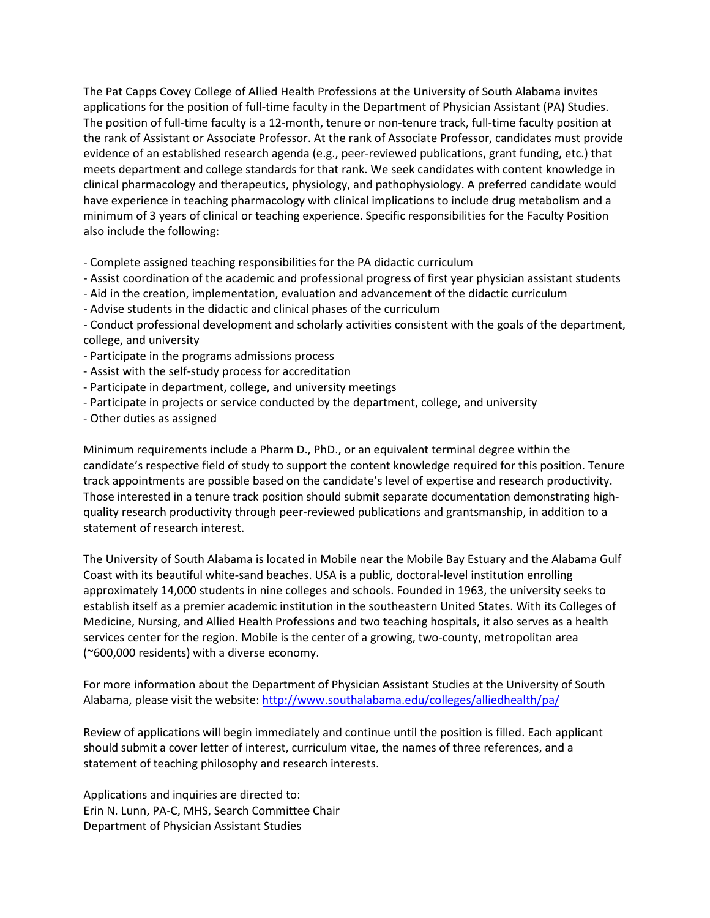The Pat Capps Covey College of Allied Health Professions at the University of South Alabama invites applications for the position of full-time faculty in the Department of Physician Assistant (PA) Studies. The position of full-time faculty is a 12-month, tenure or non-tenure track, full-time faculty position at the rank of Assistant or Associate Professor. At the rank of Associate Professor, candidates must provide evidence of an established research agenda (e.g., peer-reviewed publications, grant funding, etc.) that meets department and college standards for that rank. We seek candidates with content knowledge in clinical pharmacology and therapeutics, physiology, and pathophysiology. A preferred candidate would have experience in teaching pharmacology with clinical implications to include drug metabolism and a minimum of 3 years of clinical or teaching experience. Specific responsibilities for the Faculty Position also include the following:

- Complete assigned teaching responsibilities for the PA didactic curriculum
- Assist coordination of the academic and professional progress of first year physician assistant students
- Aid in the creation, implementation, evaluation and advancement of the didactic curriculum
- Advise students in the didactic and clinical phases of the curriculum
- Conduct professional development and scholarly activities consistent with the goals of the department, college, and university
- Participate in the programs admissions process
- Assist with the self-study process for accreditation
- Participate in department, college, and university meetings
- Participate in projects or service conducted by the department, college, and university
- Other duties as assigned

Minimum requirements include a Pharm D., PhD., or an equivalent terminal degree within the candidate's respective field of study to support the content knowledge required for this position. Tenure track appointments are possible based on the candidate's level of expertise and research productivity. Those interested in a tenure track position should submit separate documentation demonstrating highquality research productivity through peer-reviewed publications and grantsmanship, in addition to a statement of research interest.

The University of South Alabama is located in Mobile near the Mobile Bay Estuary and the Alabama Gulf Coast with its beautiful white-sand beaches. USA is a public, doctoral-level institution enrolling approximately 14,000 students in nine colleges and schools. Founded in 1963, the university seeks to establish itself as a premier academic institution in the southeastern United States. With its Colleges of Medicine, Nursing, and Allied Health Professions and two teaching hospitals, it also serves as a health services center for the region. Mobile is the center of a growing, two-county, metropolitan area (~600,000 residents) with a diverse economy.

For more information about the Department of Physician Assistant Studies at the University of South Alabama, please visit the website:<http://www.southalabama.edu/colleges/alliedhealth/pa/>

Review of applications will begin immediately and continue until the position is filled. Each applicant should submit a cover letter of interest, curriculum vitae, the names of three references, and a statement of teaching philosophy and research interests.

Applications and inquiries are directed to: Erin N. Lunn, PA-C, MHS, Search Committee Chair Department of Physician Assistant Studies